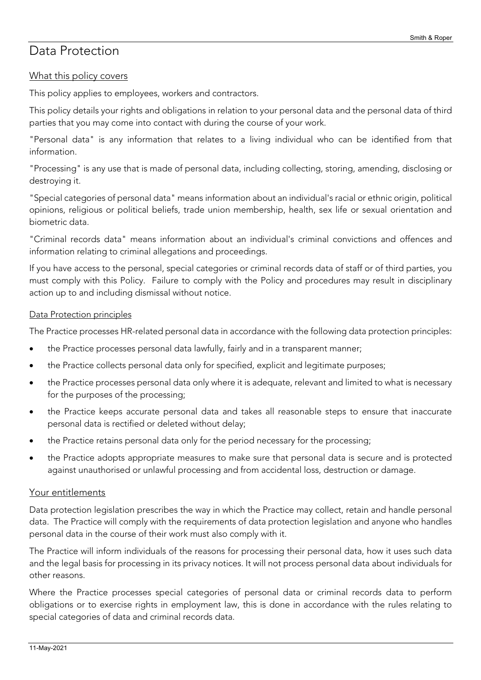# Data Protection

# What this policy covers

This policy applies to employees, workers and contractors.

This policy details your rights and obligations in relation to your personal data and the personal data of third parties that you may come into contact with during the course of your work.

"Personal data" is any information that relates to a living individual who can be identified from that information.

"Processing" is any use that is made of personal data, including collecting, storing, amending, disclosing or destroying it.

"Special categories of personal data" means information about an individual's racial or ethnic origin, political opinions, religious or political beliefs, trade union membership, health, sex life or sexual orientation and biometric data.

"Criminal records data" means information about an individual's criminal convictions and offences and information relating to criminal allegations and proceedings.

If you have access to the personal, special categories or criminal records data of staff or of third parties, you must comply with this Policy. Failure to comply with the Policy and procedures may result in disciplinary action up to and including dismissal without notice.

#### Data Protection principles

The Practice processes HR-related personal data in accordance with the following data protection principles:

- the Practice processes personal data lawfully, fairly and in a transparent manner;
- the Practice collects personal data only for specified, explicit and legitimate purposes;
- the Practice processes personal data only where it is adequate, relevant and limited to what is necessary for the purposes of the processing;
- the Practice keeps accurate personal data and takes all reasonable steps to ensure that inaccurate personal data is rectified or deleted without delay;
- the Practice retains personal data only for the period necessary for the processing;
- the Practice adopts appropriate measures to make sure that personal data is secure and is protected against unauthorised or unlawful processing and from accidental loss, destruction or damage.

#### Your entitlements

Data protection legislation prescribes the way in which the Practice may collect, retain and handle personal data. The Practice will comply with the requirements of data protection legislation and anyone who handles personal data in the course of their work must also comply with it.

The Practice will inform individuals of the reasons for processing their personal data, how it uses such data and the legal basis for processing in its privacy notices. It will not process personal data about individuals for other reasons.

Where the Practice processes special categories of personal data or criminal records data to perform obligations or to exercise rights in employment law, this is done in accordance with the rules relating to special categories of data and criminal records data.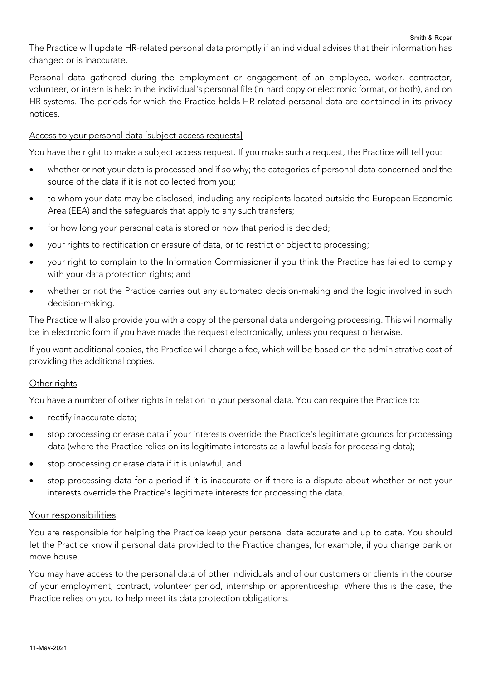The Practice will update HR-related personal data promptly if an individual advises that their information has changed or is inaccurate.

Personal data gathered during the employment or engagement of an employee, worker, contractor, volunteer, or intern is held in the individual's personal file (in hard copy or electronic format, or both), and on HR systems. The periods for which the Practice holds HR-related personal data are contained in its privacy notices.

## Access to your personal data [subject access requests]

You have the right to make a subject access request. If you make such a request, the Practice will tell you:

- whether or not your data is processed and if so why; the categories of personal data concerned and the source of the data if it is not collected from you;
- to whom your data may be disclosed, including any recipients located outside the European Economic Area (EEA) and the safeguards that apply to any such transfers;
- for how long your personal data is stored or how that period is decided;
- your rights to rectification or erasure of data, or to restrict or object to processing;
- your right to complain to the Information Commissioner if you think the Practice has failed to comply with your data protection rights; and
- whether or not the Practice carries out any automated decision-making and the logic involved in such decision-making.

The Practice will also provide you with a copy of the personal data undergoing processing. This will normally be in electronic form if you have made the request electronically, unless you request otherwise.

If you want additional copies, the Practice will charge a fee, which will be based on the administrative cost of providing the additional copies.

#### Other rights

You have a number of other rights in relation to your personal data. You can require the Practice to:

- rectify inaccurate data;
- stop processing or erase data if your interests override the Practice's legitimate grounds for processing data (where the Practice relies on its legitimate interests as a lawful basis for processing data);
- stop processing or erase data if it is unlawful; and
- stop processing data for a period if it is inaccurate or if there is a dispute about whether or not your interests override the Practice's legitimate interests for processing the data.

#### Your responsibilities

You are responsible for helping the Practice keep your personal data accurate and up to date. You should let the Practice know if personal data provided to the Practice changes, for example, if you change bank or move house.

You may have access to the personal data of other individuals and of our customers or clients in the course of your employment, contract, volunteer period, internship or apprenticeship. Where this is the case, the Practice relies on you to help meet its data protection obligations.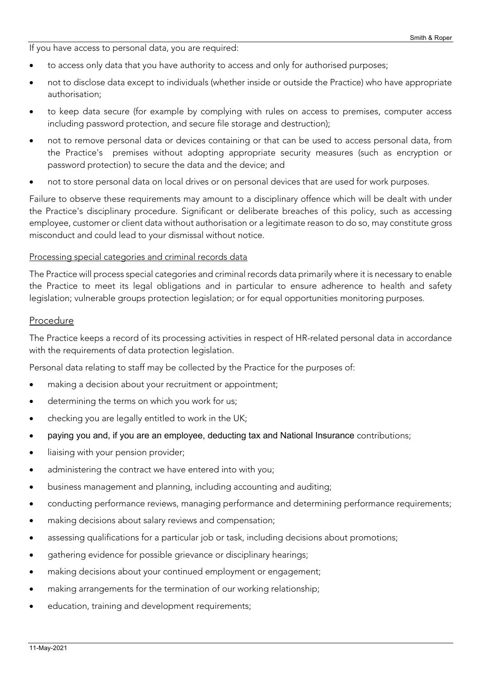If you have access to personal data, you are required:

- to access only data that you have authority to access and only for authorised purposes;
- not to disclose data except to individuals (whether inside or outside the Practice) who have appropriate authorisation;
- to keep data secure (for example by complying with rules on access to premises, computer access including password protection, and secure file storage and destruction);
- not to remove personal data or devices containing or that can be used to access personal data, from the Practice's premises without adopting appropriate security measures (such as encryption or password protection) to secure the data and the device; and
- not to store personal data on local drives or on personal devices that are used for work purposes.

Failure to observe these requirements may amount to a disciplinary offence which will be dealt with under the Practice's disciplinary procedure. Significant or deliberate breaches of this policy, such as accessing employee, customer or client data without authorisation or a legitimate reason to do so, may constitute gross misconduct and could lead to your dismissal without notice.

#### Processing special categories and criminal records data

The Practice will process special categories and criminal records data primarily where it is necessary to enable the Practice to meet its legal obligations and in particular to ensure adherence to health and safety legislation; vulnerable groups protection legislation; or for equal opportunities monitoring purposes.

#### Procedure

The Practice keeps a record of its processing activities in respect of HR-related personal data in accordance with the requirements of data protection legislation.

Personal data relating to staff may be collected by the Practice for the purposes of:

- making a decision about your recruitment or appointment;
- determining the terms on which you work for us;
- checking you are legally entitled to work in the UK;
- paying you and, if you are an employee, deducting tax and National Insurance contributions;
- liaising with your pension provider;
- administering the contract we have entered into with you;
- business management and planning, including accounting and auditing;
- conducting performance reviews, managing performance and determining performance requirements;
- making decisions about salary reviews and compensation;
- assessing qualifications for a particular job or task, including decisions about promotions;
- gathering evidence for possible grievance or disciplinary hearings;
- making decisions about your continued employment or engagement;
- making arrangements for the termination of our working relationship;
- education, training and development requirements;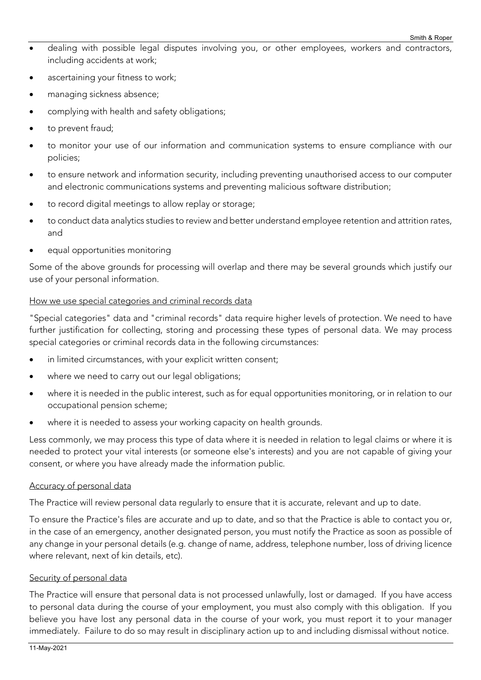- dealing with possible legal disputes involving you, or other employees, workers and contractors, including accidents at work;
- ascertaining your fitness to work;
- managing sickness absence;
- complying with health and safety obligations;
- to prevent fraud;
- to monitor your use of our information and communication systems to ensure compliance with our policies;
- to ensure network and information security, including preventing unauthorised access to our computer and electronic communications systems and preventing malicious software distribution;
- to record digital meetings to allow replay or storage;
- to conduct data analytics studies to review and better understand employee retention and attrition rates, and
- equal opportunities monitoring

Some of the above grounds for processing will overlap and there may be several grounds which justify our use of your personal information.

## How we use special categories and criminal records data

"Special categories" data and "criminal records" data require higher levels of protection. We need to have further justification for collecting, storing and processing these types of personal data. We may process special categories or criminal records data in the following circumstances:

- in limited circumstances, with your explicit written consent;
- where we need to carry out our legal obligations;
- where it is needed in the public interest, such as for equal opportunities monitoring, or in relation to our occupational pension scheme;
- where it is needed to assess your working capacity on health grounds.

Less commonly, we may process this type of data where it is needed in relation to legal claims or where it is needed to protect your vital interests (or someone else's interests) and you are not capable of giving your consent, or where you have already made the information public.

#### Accuracy of personal data

The Practice will review personal data regularly to ensure that it is accurate, relevant and up to date.

To ensure the Practice's files are accurate and up to date, and so that the Practice is able to contact you or, in the case of an emergency, another designated person, you must notify the Practice as soon as possible of any change in your personal details (e.g. change of name, address, telephone number, loss of driving licence where relevant, next of kin details, etc).

#### Security of personal data

The Practice will ensure that personal data is not processed unlawfully, lost or damaged. If you have access to personal data during the course of your employment, you must also comply with this obligation. If you believe you have lost any personal data in the course of your work, you must report it to your manager immediately. Failure to do so may result in disciplinary action up to and including dismissal without notice.